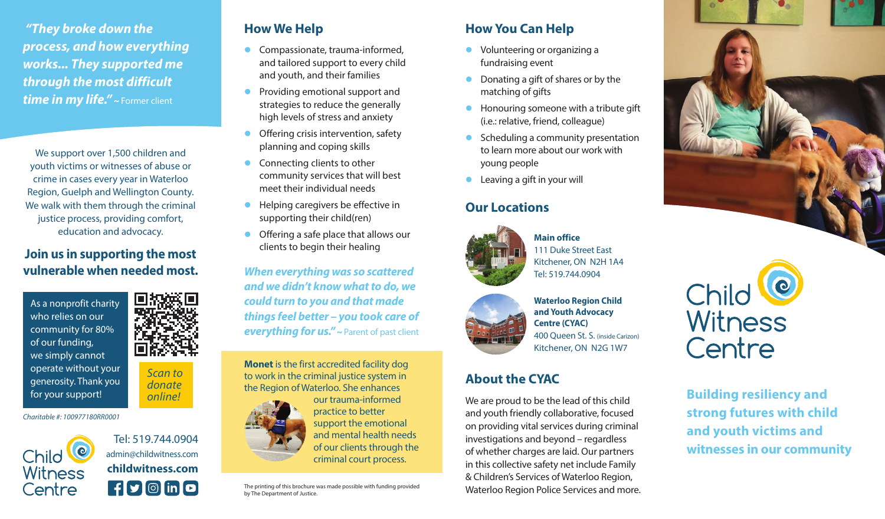*"They broke down the process, and how everything works... They supported me through the most difficult time in my life." ~* Former client

We support over 1,500 children and youth victims or witnesses of abuse or crime in cases every year in Waterloo Region, Guelph and Wellington County. We walk with them through the criminal justice process, providing comfort, education and advocacy.

#### **Join us in supporting the most vulnerable when needed most.**

As a nonprofit charity who relies on our community for 80% of our funding, we simply cannot operate without your generosity. Thank you for your support!



*Scan to donate online!*

*Charitable #: 100977180RR0001*



Tel: 519.744.0904 admin@childwitness.com **childwitness.com** 

### **How We Help**

- Compassionate, trauma-informed, and tailored support to every child and youth, and their families
- Providing emotional support and strategies to reduce the generally high levels of stress and anxiety
- **Offering crisis intervention, safety** planning and coping skills
- **Connecting clients to other** community services that will best meet their individual needs
- Helping caregivers be effective in supporting their child(ren)
- **Offering a safe place that allows our** clients to begin their healing

*When everything was so scattered and we didn't know what to do, we could turn to you and that made things feel better – you took care of everything for us." ~* Parent of past client

**Monet** is the first accredited facility dog to work in the criminal justice system in the Region of Waterloo. She enhances



practice to better support the emotional and mental health needs of our clients through the criminal court process.

The printing of this brochure was made possible with funding provided by The Department of Justice.

## **How You Can Help**

- Volunteering or organizing a fundraising event
- Donating a gift of shares or by the matching of gifts
- **•** Honouring someone with a tribute gift (i.e.: relative, friend, colleague)
- Scheduling a community presentation to learn more about our work with young people

**Main office**

111 Duke Street East Kitchener, ON N2H 1A4 Tel: 519.744.0904

**•** Leaving a gift in your will

#### **Our Locations**





**Waterloo Region Child and Youth Advocacy Centre (CYAC)** 400 Queen St. S. (inside Carizon) Kitchener, ON N2G 1W7

#### **About the CYAC**

We are proud to be the lead of this child and youth friendly collaborative, focused on providing vital services during criminal investigations and beyond – regardless of whether charges are laid. Our partners in this collective safety net include Family & Children's Services of Waterloo Region, Waterloo Region Police Services and more.



Child Witness Centre

**Building resiliency and strong futures with child and youth victims and witnesses in our community**